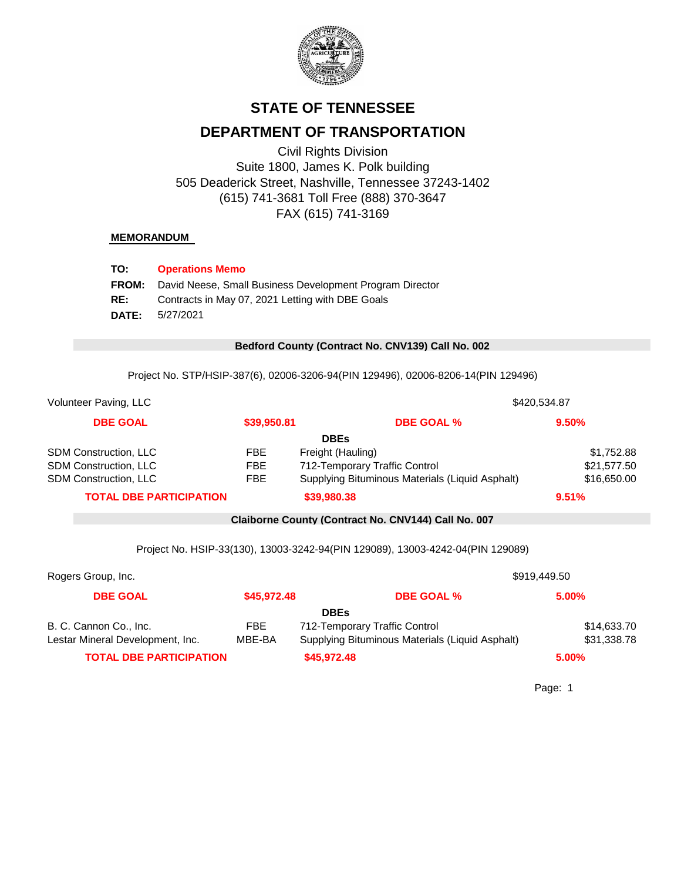

# **STATE OF TENNESSEE**

## **DEPARTMENT OF TRANSPORTATION**

Civil Rights Division Suite 1800, James K. Polk building 505 Deaderick Street, Nashville, Tennessee 37243-1402 (615) 741-3681 Toll Free (888) 370-3647 FAX (615) 741-3169

### **MEMORANDUM**

| TO:          | <b>Operations Memo</b>                                   |
|--------------|----------------------------------------------------------|
| <b>FROM:</b> | David Neese, Small Business Development Program Director |
| RE:          | Contracts in May 07, 2021 Letting with DBE Goals         |
| DATE:        | 5/27/2021                                                |

#### 0 **Bedford County (Contract No. CNV139) Call No. 002**

Project No. STP/HSIP-387(6), 02006-3206-94(PIN 129496), 02006-8206-14(PIN 129496)

| Volunteer Paving, LLC          |             |                                                 | \$420,534.87 |
|--------------------------------|-------------|-------------------------------------------------|--------------|
| <b>DBE GOAL</b>                | \$39,950.81 | <b>DBE GOAL %</b>                               | 9.50%        |
|                                |             | <b>DBEs</b>                                     |              |
| <b>SDM Construction, LLC</b>   | FBE         | Freight (Hauling)                               | \$1,752.88   |
| <b>SDM Construction, LLC</b>   | <b>FBE</b>  | 712-Temporary Traffic Control                   | \$21,577.50  |
| <b>SDM Construction, LLC</b>   | <b>FBE</b>  | Supplying Bituminous Materials (Liquid Asphalt) | \$16,650.00  |
| <b>TOTAL DBE PARTICIPATION</b> |             | \$39,980.38                                     | 9.51%        |

0 **Claiborne County (Contract No. CNV144) Call No. 007**

Project No. HSIP-33(130), 13003-3242-94(PIN 129089), 13003-4242-04(PIN 129089)

| Rogers Group, Inc.               |             |                                                 | \$919,449.50 |  |
|----------------------------------|-------------|-------------------------------------------------|--------------|--|
| <b>DBE GOAL</b>                  | \$45,972.48 | <b>DBE GOAL %</b>                               | 5.00%        |  |
|                                  |             | <b>DBEs</b>                                     |              |  |
| B. C. Cannon Co., Inc.           | FBE.        | 712-Temporary Traffic Control                   | \$14,633.70  |  |
| Lestar Mineral Development, Inc. | MBE-BA      | Supplying Bituminous Materials (Liquid Asphalt) | \$31,338.78  |  |
| <b>TOTAL DBE PARTICIPATION</b>   |             | \$45,972.48                                     | $5.00\%$     |  |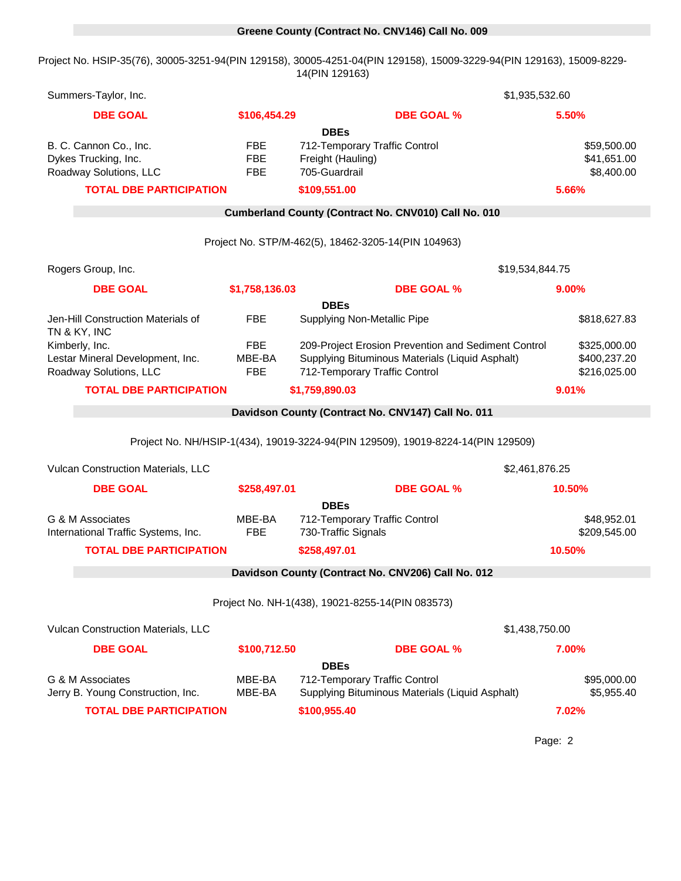## 0 **Greene County (Contract No. CNV146) Call No. 009**

Project No. HSIP-35(76), 30005-3251-94(PIN 129158), 30005-4251-04(PIN 129158), 15009-3229-94(PIN 129163), 15009-8229- 14(PIN 129163)

| Summers-Taylor, Inc.                                                  | \$1,935,532.60           |                                                                                  |                              |  |  |
|-----------------------------------------------------------------------|--------------------------|----------------------------------------------------------------------------------|------------------------------|--|--|
| <b>DBE GOAL</b>                                                       | \$106,454.29             | <b>DBE GOAL %</b>                                                                | 5.50%                        |  |  |
|                                                                       |                          | <b>DBEs</b>                                                                      |                              |  |  |
| B. C. Cannon Co., Inc.                                                | <b>FBE</b>               | 712-Temporary Traffic Control                                                    | \$59,500.00                  |  |  |
| Dykes Trucking, Inc.<br>Roadway Solutions, LLC                        | <b>FBE</b><br><b>FBE</b> | Freight (Hauling)<br>705-Guardrail                                               | \$41,651.00<br>\$8,400.00    |  |  |
| <b>TOTAL DBE PARTICIPATION</b>                                        |                          | \$109,551.00                                                                     | 5.66%                        |  |  |
|                                                                       |                          |                                                                                  |                              |  |  |
|                                                                       |                          | Cumberland County (Contract No. CNV010) Call No. 010                             |                              |  |  |
|                                                                       |                          | Project No. STP/M-462(5), 18462-3205-14(PIN 104963)                              |                              |  |  |
| Rogers Group, Inc.                                                    |                          | \$19,534,844.75                                                                  |                              |  |  |
| <b>DBE GOAL</b>                                                       | \$1,758,136.03           | <b>DBE GOAL %</b>                                                                | 9.00%                        |  |  |
|                                                                       |                          | <b>DBEs</b>                                                                      |                              |  |  |
| Jen-Hill Construction Materials of<br>TN & KY, INC                    | <b>FBE</b>               | Supplying Non-Metallic Pipe                                                      | \$818,627.83                 |  |  |
| Kimberly, Inc.                                                        | <b>FBE</b>               | 209-Project Erosion Prevention and Sediment Control                              | \$325,000.00                 |  |  |
| Lestar Mineral Development, Inc.<br>Roadway Solutions, LLC            | MBE-BA<br><b>FBE</b>     | Supplying Bituminous Materials (Liquid Asphalt)<br>712-Temporary Traffic Control | \$400,237.20<br>\$216,025.00 |  |  |
| <b>TOTAL DBE PARTICIPATION</b>                                        |                          | \$1,759,890.03                                                                   | 9.01%                        |  |  |
|                                                                       |                          | Davidson County (Contract No. CNV147) Call No. 011                               |                              |  |  |
|                                                                       |                          |                                                                                  |                              |  |  |
|                                                                       |                          | Project No. NH/HSIP-1(434), 19019-3224-94(PIN 129509), 19019-8224-14(PIN 129509) |                              |  |  |
| Vulcan Construction Materials, LLC                                    |                          | \$2,461,876.25                                                                   |                              |  |  |
| <b>DBE GOAL</b>                                                       | \$258,497.01             | <b>DBE GOAL %</b>                                                                | 10.50%                       |  |  |
|                                                                       |                          | <b>DBEs</b>                                                                      |                              |  |  |
| G & M Associates                                                      | MBE-BA<br><b>FBE</b>     | 712-Temporary Traffic Control                                                    | \$48,952.01                  |  |  |
| International Traffic Systems, Inc.<br><b>TOTAL DBE PARTICIPATION</b> |                          | 730-Traffic Signals                                                              | \$209,545.00<br>10.50%       |  |  |
|                                                                       |                          | \$258,497.01                                                                     |                              |  |  |
|                                                                       |                          | Davidson County (Contract No. CNV206) Call No. 012                               |                              |  |  |
|                                                                       |                          | Project No. NH-1(438), 19021-8255-14(PIN 083573)                                 |                              |  |  |
| Vulcan Construction Materials, LLC<br>\$1,438,750.00                  |                          |                                                                                  |                              |  |  |
| <b>DBE GOAL</b>                                                       | \$100,712.50             | <b>DBE GOAL %</b>                                                                | 7.00%                        |  |  |
|                                                                       |                          | <b>DBEs</b>                                                                      |                              |  |  |
| G & M Associates                                                      | MBE-BA                   | 712-Temporary Traffic Control                                                    | \$95,000.00                  |  |  |
| Jerry B. Young Construction, Inc.                                     | MBE-BA                   | Supplying Bituminous Materials (Liquid Asphalt)                                  | \$5,955.40                   |  |  |
| <b>TOTAL DBE PARTICIPATION</b>                                        |                          | \$100,955.40                                                                     | 7.02%                        |  |  |
|                                                                       |                          |                                                                                  |                              |  |  |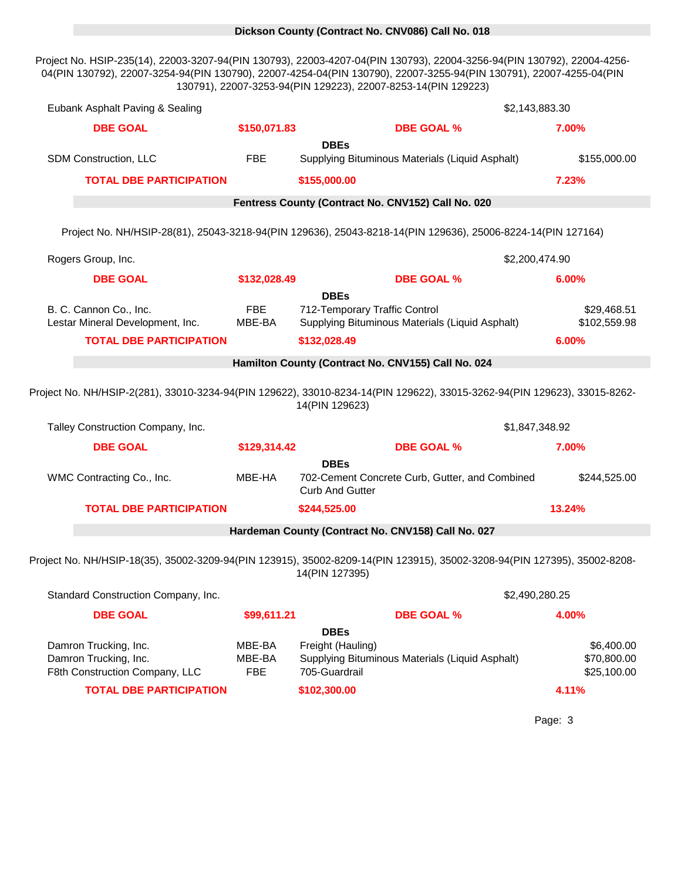### 0 **Dickson County (Contract No. CNV086) Call No. 018**

Project No. HSIP-235(14), 22003-3207-94(PIN 130793), 22003-4207-04(PIN 130793), 22004-3256-94(PIN 130792), 22004-4256- 04(PIN 130792), 22007-3254-94(PIN 130790), 22007-4254-04(PIN 130790), 22007-3255-94(PIN 130791), 22007-4255-04(PIN 130791), 22007-3253-94(PIN 129223), 22007-8253-14(PIN 129223)

| Eubank Asphalt Paving & Sealing                                                  |                                |                                                                                                                                            | \$2,143,883.30                           |
|----------------------------------------------------------------------------------|--------------------------------|--------------------------------------------------------------------------------------------------------------------------------------------|------------------------------------------|
| <b>DBE GOAL</b>                                                                  | \$150,071.83                   | <b>DBE GOAL %</b>                                                                                                                          | 7.00%                                    |
| SDM Construction, LLC                                                            | <b>FBE</b>                     | <b>DBEs</b><br>Supplying Bituminous Materials (Liquid Asphalt)                                                                             | \$155,000.00                             |
| <b>TOTAL DBE PARTICIPATION</b>                                                   |                                | \$155,000.00                                                                                                                               | 7.23%                                    |
|                                                                                  |                                | Fentress County (Contract No. CNV152) Call No. 020                                                                                         |                                          |
|                                                                                  |                                | Project No. NH/HSIP-28(81), 25043-3218-94(PIN 129636), 25043-8218-14(PIN 129636), 25006-8224-14(PIN 127164)                                |                                          |
| Rogers Group, Inc.                                                               |                                |                                                                                                                                            | \$2,200,474.90                           |
| <b>DBE GOAL</b>                                                                  | \$132,028.49                   | <b>DBE GOAL %</b>                                                                                                                          | 6.00%                                    |
|                                                                                  |                                | <b>DBEs</b>                                                                                                                                |                                          |
| B. C. Cannon Co., Inc.<br>Lestar Mineral Development, Inc.                       | <b>FBE</b><br>MBE-BA           | 712-Temporary Traffic Control<br>Supplying Bituminous Materials (Liquid Asphalt)                                                           | \$29,468.51<br>\$102,559.98              |
| <b>TOTAL DBE PARTICIPATION</b>                                                   |                                | \$132,028.49                                                                                                                               | 6.00%                                    |
|                                                                                  |                                | Hamilton County (Contract No. CNV155) Call No. 024                                                                                         |                                          |
| Talley Construction Company, Inc.                                                |                                | 14(PIN 129623)                                                                                                                             | \$1,847,348.92                           |
| <b>DBE GOAL</b>                                                                  | \$129,314.42                   | <b>DBE GOAL %</b>                                                                                                                          | 7.00%                                    |
| WMC Contracting Co., Inc.                                                        | MBE-HA                         | <b>DBEs</b><br>702-Cement Concrete Curb, Gutter, and Combined<br><b>Curb And Gutter</b>                                                    | \$244,525.00                             |
| <b>TOTAL DBE PARTICIPATION</b>                                                   |                                | \$244,525.00                                                                                                                               | 13.24%                                   |
|                                                                                  |                                | Hardeman County (Contract No. CNV158) Call No. 027                                                                                         |                                          |
|                                                                                  |                                | Project No. NH/HSIP-18(35), 35002-3209-94(PIN 123915), 35002-8209-14(PIN 123915), 35002-3208-94(PIN 127395), 35002-8208-<br>14(PIN 127395) |                                          |
| Standard Construction Company, Inc.                                              |                                |                                                                                                                                            | \$2,490,280.25                           |
| <b>DBE GOAL</b>                                                                  | \$99,611.21                    | <b>DBE GOAL %</b>                                                                                                                          | 4.00%                                    |
| Damron Trucking, Inc.<br>Damron Trucking, Inc.<br>F8th Construction Company, LLC | MBE-BA<br>MBE-BA<br><b>FBE</b> | <b>DBEs</b><br>Freight (Hauling)<br>Supplying Bituminous Materials (Liquid Asphalt)<br>705-Guardrail                                       | \$6,400.00<br>\$70,800.00<br>\$25,100.00 |
| <b>TOTAL DBE PARTICIPATION</b>                                                   |                                | \$102,300.00                                                                                                                               | 4.11%                                    |
|                                                                                  |                                |                                                                                                                                            | Page: 3                                  |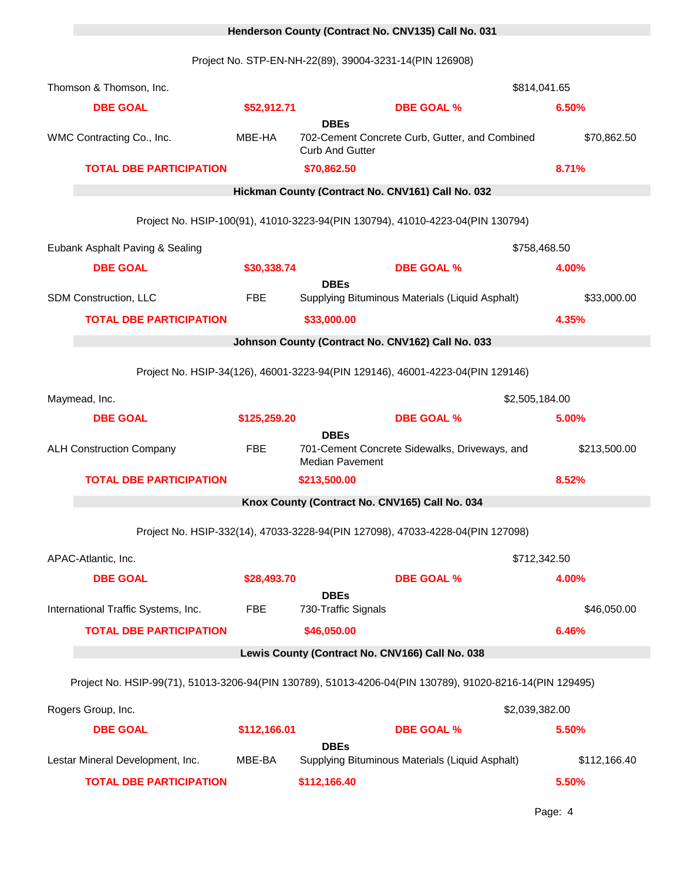# 0 **Henderson County (Contract No. CNV135) Call No. 031**

Project No. STP-EN-NH-22(89), 39004-3231-14(PIN 126908)

| Thomson & Thomson, Inc.                                                                                  |              |                                       |                                                                                | \$814,041.65   |  |
|----------------------------------------------------------------------------------------------------------|--------------|---------------------------------------|--------------------------------------------------------------------------------|----------------|--|
| <b>DBE GOAL</b>                                                                                          | \$52,912.71  |                                       | <b>DBE GOAL %</b>                                                              | 6.50%          |  |
| WMC Contracting Co., Inc.                                                                                | MBE-HA       | <b>DBEs</b><br><b>Curb And Gutter</b> | 702-Cement Concrete Curb, Gutter, and Combined                                 | \$70,862.50    |  |
| <b>TOTAL DBE PARTICIPATION</b>                                                                           |              | \$70,862.50                           |                                                                                | 8.71%          |  |
|                                                                                                          |              |                                       | Hickman County (Contract No. CNV161) Call No. 032                              |                |  |
|                                                                                                          |              |                                       | Project No. HSIP-100(91), 41010-3223-94(PIN 130794), 41010-4223-04(PIN 130794) |                |  |
| Eubank Asphalt Paving & Sealing                                                                          |              |                                       |                                                                                | \$758,468.50   |  |
| <b>DBE GOAL</b>                                                                                          | \$30,338.74  |                                       | <b>DBE GOAL %</b>                                                              | 4.00%          |  |
| SDM Construction, LLC                                                                                    | <b>FBE</b>   | <b>DBEs</b>                           | Supplying Bituminous Materials (Liquid Asphalt)                                | \$33,000.00    |  |
| <b>TOTAL DBE PARTICIPATION</b>                                                                           |              | \$33,000.00                           |                                                                                | 4.35%          |  |
|                                                                                                          |              |                                       | Johnson County (Contract No. CNV162) Call No. 033                              |                |  |
|                                                                                                          |              |                                       | Project No. HSIP-34(126), 46001-3223-94(PIN 129146), 46001-4223-04(PIN 129146) |                |  |
|                                                                                                          |              |                                       |                                                                                |                |  |
| Maymead, Inc.                                                                                            |              |                                       |                                                                                | \$2,505,184.00 |  |
| <b>DBE GOAL</b>                                                                                          | \$125,259.20 | <b>DBEs</b>                           | <b>DBE GOAL %</b>                                                              | 5.00%          |  |
| <b>ALH Construction Company</b>                                                                          | <b>FBE</b>   | <b>Median Pavement</b>                | 701-Cement Concrete Sidewalks, Driveways, and                                  | \$213,500.00   |  |
| <b>TOTAL DBE PARTICIPATION</b>                                                                           |              | \$213,500.00                          |                                                                                | 8.52%          |  |
|                                                                                                          |              |                                       | Knox County (Contract No. CNV165) Call No. 034                                 |                |  |
|                                                                                                          |              |                                       | Project No. HSIP-332(14), 47033-3228-94(PIN 127098), 47033-4228-04(PIN 127098) |                |  |
| APAC-Atlantic, Inc.                                                                                      |              |                                       |                                                                                | \$712,342.50   |  |
| <b>DBE GOAL</b>                                                                                          | \$28,493.70  |                                       | <b>DBE GOAL %</b>                                                              | 4.00%          |  |
| International Traffic Systems, Inc.                                                                      | <b>FBE</b>   | <b>DBEs</b><br>730-Traffic Signals    |                                                                                | \$46,050.00    |  |
| <b>TOTAL DBE PARTICIPATION</b>                                                                           |              | \$46,050.00                           |                                                                                | 6.46%          |  |
|                                                                                                          |              |                                       | Lewis County (Contract No. CNV166) Call No. 038                                |                |  |
| Project No. HSIP-99(71), 51013-3206-94(PIN 130789), 51013-4206-04(PIN 130789), 91020-8216-14(PIN 129495) |              |                                       |                                                                                |                |  |
| Rogers Group, Inc.                                                                                       |              |                                       |                                                                                | \$2,039,382.00 |  |
| <b>DBE GOAL</b>                                                                                          | \$112,166.01 |                                       | <b>DBE GOAL %</b>                                                              | 5.50%          |  |
|                                                                                                          |              | <b>DBEs</b>                           |                                                                                |                |  |
| Lestar Mineral Development, Inc.                                                                         | MBE-BA       |                                       | Supplying Bituminous Materials (Liquid Asphalt)                                | \$112,166.40   |  |
| <b>TOTAL DBE PARTICIPATION</b>                                                                           |              | \$112,166.40                          |                                                                                | 5.50%          |  |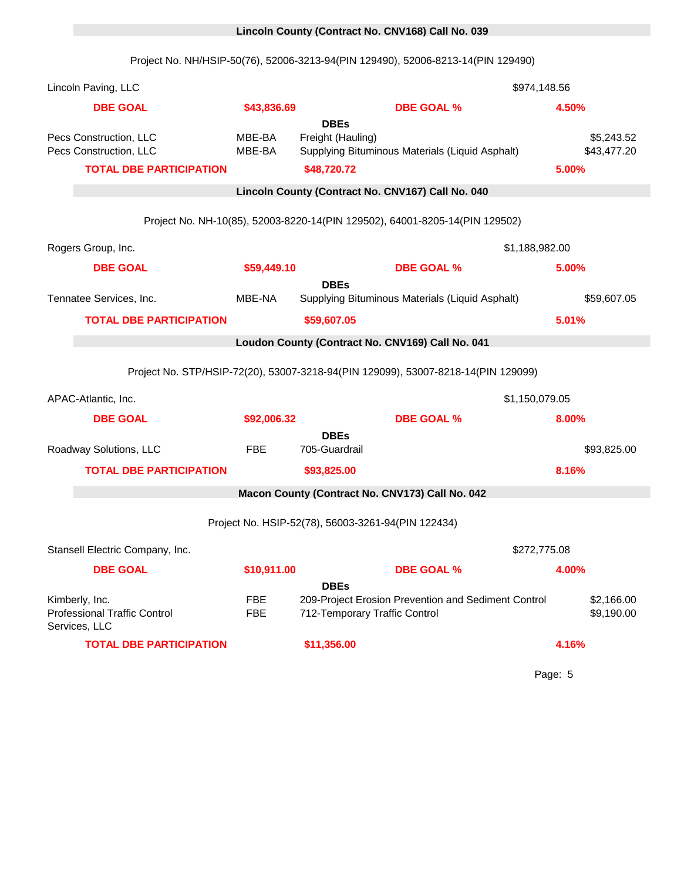# **DBEs** Kimberly, Inc. **FBE** 209-Project Erosion Prevention and Sediment Control \$2,166.00 Professional Traffic Control Services, LLC FBE 712-Temporary Traffic Control **69,190.00** Project No. HSIP-52(78), 56003-3261-94(PIN 122434) Stansell Electric Company, Inc. 18683 \$272,775.08 **DBE GOAL \$10,911.00 DBE GOAL % 4.00% TOTAL DBE PARTICIPATION \$93,825.00 8.16%** 0 **Macon County (Contract No. CNV173) Call No. 042 DBE GOAL \$92,006.32 DBE GOAL % 8.00% DBEs** Roadway Solutions, LLC 
FBE 705-Guardrail Contact Contact Contact Contact 100-100 100-2010 0 **Loudon County (Contract No. CNV169) Call No. 041** Project No. STP/HSIP-72(20), 53007-3218-94(PIN 129099), 53007-8218-14(PIN 129099) APAC-Atlantic, Inc. 18607 1990 18607 18607 18607 18607 18607 18607 18707 1870 **DBEs** Tennatee Services, Inc. MBE-NA Supplying Bituminous Materials (Liquid Asphalt) \$59,607.05 **TOTAL DBE PARTICIPATION \$59,607.05 5.01%** Project No. NH-10(85), 52003-8220-14(PIN 129502), 64001-8205-14(PIN 129502) Rogers Group, Inc. 2008. The State of the State of the State of the State of the State of the State of the State of the State of the State of the State of the State of the State of the State of the State of the State of th **DBE GOAL \$59,449.10 DBE GOAL % 5.00% TOTAL DBE PARTICIPATION \$48,720.72 5.00%** 0 **Lincoln County (Contract No. CNV167) Call No. 040 DBEs** Pecs Construction, LLC **MBE-BA** Freight (Hauling) **Figure 10** 100 125,243.52 Pecs Construction, LLC MBE-BA Supplying Bituminous Materials (Liquid Asphalt) \$43,477.20 Lincoln Paving, LLC 18669 \$974,148.56 **DBE GOAL \$43,836.69 DBE GOAL % 4.50%** 0 **Lincoln County (Contract No. CNV168) Call No. 039** Project No. NH/HSIP-50(76), 52006-3213-94(PIN 129490), 52006-8213-14(PIN 129490)

**TOTAL DBE PARTICIPATION \$11,356.00 4.16%**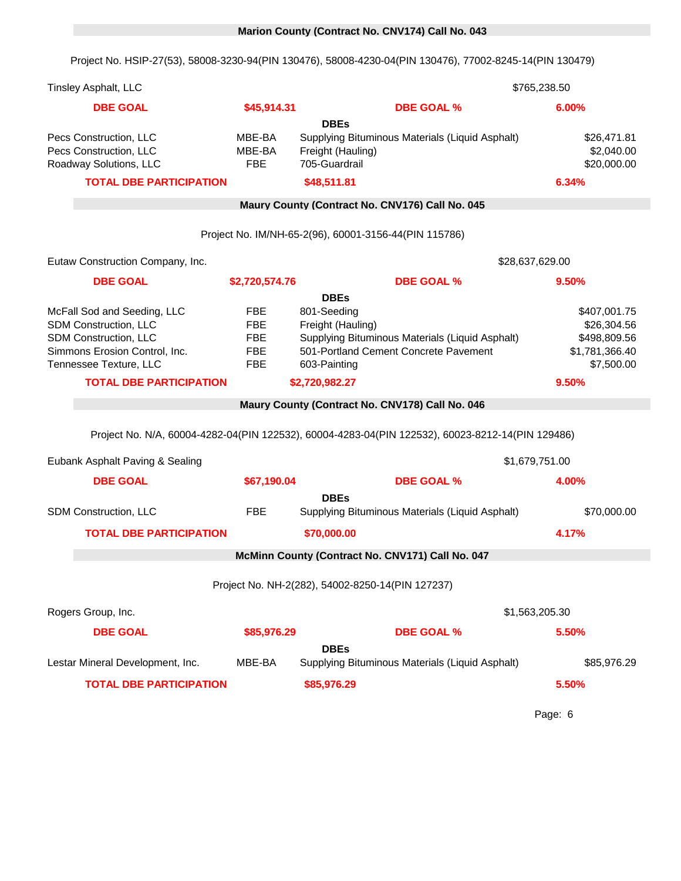## 0 **Marion County (Contract No. CNV174) Call No. 043**

Project No. HSIP-27(53), 58008-3230-94(PIN 130476), 58008-4230-04(PIN 130476), 77002-8245-14(PIN 130479)

| <b>Tinsley Asphalt, LLC</b>                                                                                                              |                                                                    |                                                                                                                                                             | \$765,238.50                                                                |
|------------------------------------------------------------------------------------------------------------------------------------------|--------------------------------------------------------------------|-------------------------------------------------------------------------------------------------------------------------------------------------------------|-----------------------------------------------------------------------------|
| <b>DBE GOAL</b>                                                                                                                          | \$45,914.31                                                        | <b>DBE GOAL %</b>                                                                                                                                           | 6.00%                                                                       |
| Pecs Construction, LLC<br>Pecs Construction, LLC<br>Roadway Solutions, LLC<br><b>TOTAL DBE PARTICIPATION</b>                             | MBE-BA<br>MBE-BA<br><b>FBE</b>                                     | <b>DBEs</b><br>Supplying Bituminous Materials (Liquid Asphalt)<br>Freight (Hauling)<br>705-Guardrail<br>\$48,511.81                                         | \$26,471.81<br>\$2,040.00<br>\$20,000.00<br>6.34%                           |
|                                                                                                                                          |                                                                    | Maury County (Contract No. CNV176) Call No. 045                                                                                                             |                                                                             |
|                                                                                                                                          |                                                                    |                                                                                                                                                             |                                                                             |
|                                                                                                                                          |                                                                    | Project No. IM/NH-65-2(96), 60001-3156-44(PIN 115786)                                                                                                       |                                                                             |
| Eutaw Construction Company, Inc.                                                                                                         |                                                                    |                                                                                                                                                             | \$28,637,629.00                                                             |
| <b>DBE GOAL</b>                                                                                                                          | \$2,720,574.76                                                     | <b>DBE GOAL %</b>                                                                                                                                           | 9.50%                                                                       |
| McFall Sod and Seeding, LLC<br>SDM Construction, LLC<br>SDM Construction, LLC<br>Simmons Erosion Control, Inc.<br>Tennessee Texture, LLC | <b>FBE</b><br><b>FBE</b><br><b>FBE</b><br><b>FBE</b><br><b>FBE</b> | <b>DBEs</b><br>801-Seeding<br>Freight (Hauling)<br>Supplying Bituminous Materials (Liquid Asphalt)<br>501-Portland Cement Concrete Pavement<br>603-Painting | \$407,001.75<br>\$26,304.56<br>\$498,809.56<br>\$1,781,366.40<br>\$7,500.00 |
| <b>TOTAL DBE PARTICIPATION</b>                                                                                                           |                                                                    | \$2,720,982.27                                                                                                                                              | 9.50%                                                                       |
|                                                                                                                                          |                                                                    | Maury County (Contract No. CNV178) Call No. 046                                                                                                             |                                                                             |
|                                                                                                                                          |                                                                    | Project No. N/A, 60004-4282-04(PIN 122532), 60004-4283-04(PIN 122532), 60023-8212-14(PIN 129486)                                                            |                                                                             |
| Eubank Asphalt Paving & Sealing                                                                                                          |                                                                    |                                                                                                                                                             | \$1,679,751.00                                                              |
| <b>DBE GOAL</b>                                                                                                                          | \$67,190.04                                                        | <b>DBE GOAL %</b>                                                                                                                                           | 4.00%                                                                       |
| <b>SDM Construction, LLC</b>                                                                                                             | <b>FBE</b>                                                         | <b>DBEs</b><br>Supplying Bituminous Materials (Liquid Asphalt)                                                                                              | \$70,000.00                                                                 |
| <b>TOTAL DBE PARTICIPATION</b>                                                                                                           |                                                                    | \$70,000.00                                                                                                                                                 | 4.17%                                                                       |
|                                                                                                                                          |                                                                    | McMinn County (Contract No. CNV171) Call No. 047                                                                                                            |                                                                             |
|                                                                                                                                          |                                                                    | Project No. NH-2(282), 54002-8250-14(PIN 127237)                                                                                                            |                                                                             |
| Rogers Group, Inc.                                                                                                                       |                                                                    |                                                                                                                                                             | \$1,563,205.30                                                              |
| <b>DBE GOAL</b>                                                                                                                          | \$85,976.29                                                        | <b>DBE GOAL %</b>                                                                                                                                           | 5.50%                                                                       |
| Lestar Mineral Development, Inc.                                                                                                         | MBE-BA                                                             | <b>DBEs</b><br>Supplying Bituminous Materials (Liquid Asphalt)                                                                                              | \$85,976.29                                                                 |
| <b>TOTAL DBE PARTICIPATION</b>                                                                                                           |                                                                    | \$85,976.29                                                                                                                                                 | 5.50%                                                                       |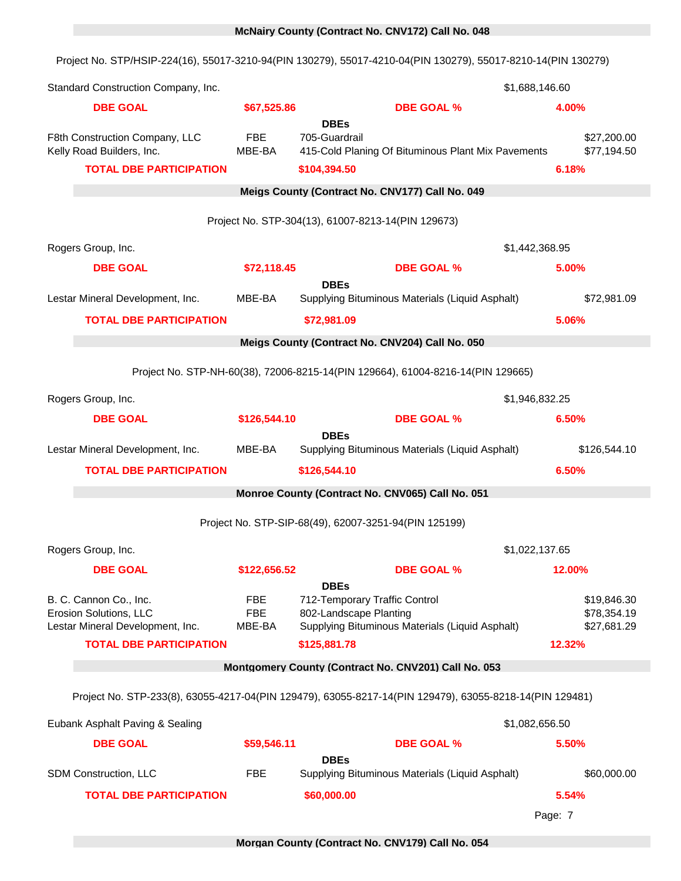## 0 **McNairy County (Contract No. CNV172) Call No. 048**

Project No. STP/HSIP-224(16), 55017-3210-94(PIN 130279), 55017-4210-04(PIN 130279), 55017-8210-14(PIN 130279)

| Standard Construction Company, Inc.                                                                                    |                             |                                                                                        |                                                                                 | \$1,688,146.60                                      |
|------------------------------------------------------------------------------------------------------------------------|-----------------------------|----------------------------------------------------------------------------------------|---------------------------------------------------------------------------------|-----------------------------------------------------|
| <b>DBE GOAL</b>                                                                                                        | \$67,525.86                 |                                                                                        | <b>DBE GOAL %</b>                                                               | 4.00%                                               |
| F8th Construction Company, LLC<br>Kelly Road Builders, Inc.<br><b>TOTAL DBE PARTICIPATION</b>                          | <b>FBE</b><br>MBE-BA        | <b>DBEs</b><br>705-Guardrail<br>\$104,394.50                                           | 415-Cold Planing Of Bituminous Plant Mix Pavements                              | \$27,200.00<br>\$77,194.50<br>6.18%                 |
|                                                                                                                        |                             | Meigs County (Contract No. CNV177) Call No. 049                                        |                                                                                 |                                                     |
|                                                                                                                        |                             | Project No. STP-304(13), 61007-8213-14(PIN 129673)                                     |                                                                                 |                                                     |
|                                                                                                                        |                             |                                                                                        |                                                                                 |                                                     |
| Rogers Group, Inc.                                                                                                     |                             |                                                                                        |                                                                                 | \$1,442,368.95                                      |
| <b>DBE GOAL</b>                                                                                                        | \$72,118.45                 | <b>DBEs</b>                                                                            | <b>DBE GOAL %</b>                                                               | 5.00%                                               |
| Lestar Mineral Development, Inc.                                                                                       | MBE-BA                      |                                                                                        | Supplying Bituminous Materials (Liquid Asphalt)                                 | \$72,981.09                                         |
| <b>TOTAL DBE PARTICIPATION</b>                                                                                         |                             | \$72,981.09                                                                            |                                                                                 | 5.06%                                               |
|                                                                                                                        |                             | Meigs County (Contract No. CNV204) Call No. 050                                        |                                                                                 |                                                     |
|                                                                                                                        |                             |                                                                                        | Project No. STP-NH-60(38), 72006-8215-14(PIN 129664), 61004-8216-14(PIN 129665) |                                                     |
| Rogers Group, Inc.                                                                                                     |                             |                                                                                        |                                                                                 | \$1,946,832.25                                      |
| <b>DBE GOAL</b>                                                                                                        | \$126,544.10                |                                                                                        | <b>DBE GOAL %</b>                                                               | 6.50%                                               |
|                                                                                                                        |                             | <b>DBEs</b>                                                                            |                                                                                 |                                                     |
| Lestar Mineral Development, Inc.                                                                                       | MBE-BA                      |                                                                                        | Supplying Bituminous Materials (Liquid Asphalt)                                 | \$126,544.10                                        |
|                                                                                                                        |                             |                                                                                        |                                                                                 |                                                     |
| <b>TOTAL DBE PARTICIPATION</b>                                                                                         |                             | \$126,544.10                                                                           |                                                                                 | 6.50%                                               |
|                                                                                                                        |                             | Monroe County (Contract No. CNV065) Call No. 051                                       |                                                                                 |                                                     |
|                                                                                                                        |                             | Project No. STP-SIP-68(49), 62007-3251-94(PIN 125199)                                  |                                                                                 |                                                     |
| Rogers Group, Inc.                                                                                                     |                             |                                                                                        |                                                                                 | \$1,022,137.65                                      |
| <b>DBE GOAL</b>                                                                                                        | \$122,656.52                |                                                                                        | <b>DBE GOAL %</b>                                                               | 12.00%                                              |
| B. C. Cannon Co., Inc.<br>Erosion Solutions, LLC<br>Lestar Mineral Development, Inc.<br><b>TOTAL DBE PARTICIPATION</b> | FBE<br><b>FBE</b><br>MBE-BA | <b>DBEs</b><br>712-Temporary Traffic Control<br>802-Landscape Planting<br>\$125,881.78 | Supplying Bituminous Materials (Liquid Asphalt)                                 | \$19,846.30<br>\$78,354.19<br>\$27,681.29<br>12.32% |
|                                                                                                                        |                             |                                                                                        | Montgomery County (Contract No. CNV201) Call No. 053                            |                                                     |
| Project No. STP-233(8), 63055-4217-04(PIN 129479), 63055-8217-14(PIN 129479), 63055-8218-14(PIN 129481)                |                             |                                                                                        |                                                                                 |                                                     |
|                                                                                                                        |                             |                                                                                        |                                                                                 |                                                     |
| Eubank Asphalt Paving & Sealing<br><b>DBE GOAL</b>                                                                     | \$59,546.11                 |                                                                                        | <b>DBE GOAL %</b>                                                               | \$1,082,656.50<br>5.50%                             |
|                                                                                                                        |                             | <b>DBEs</b>                                                                            |                                                                                 |                                                     |
| SDM Construction, LLC                                                                                                  | FBE                         |                                                                                        | Supplying Bituminous Materials (Liquid Asphalt)                                 | \$60,000.00                                         |
| <b>TOTAL DBE PARTICIPATION</b>                                                                                         |                             | \$60,000.00                                                                            |                                                                                 | 5.54%                                               |
|                                                                                                                        |                             |                                                                                        |                                                                                 | Page: 7                                             |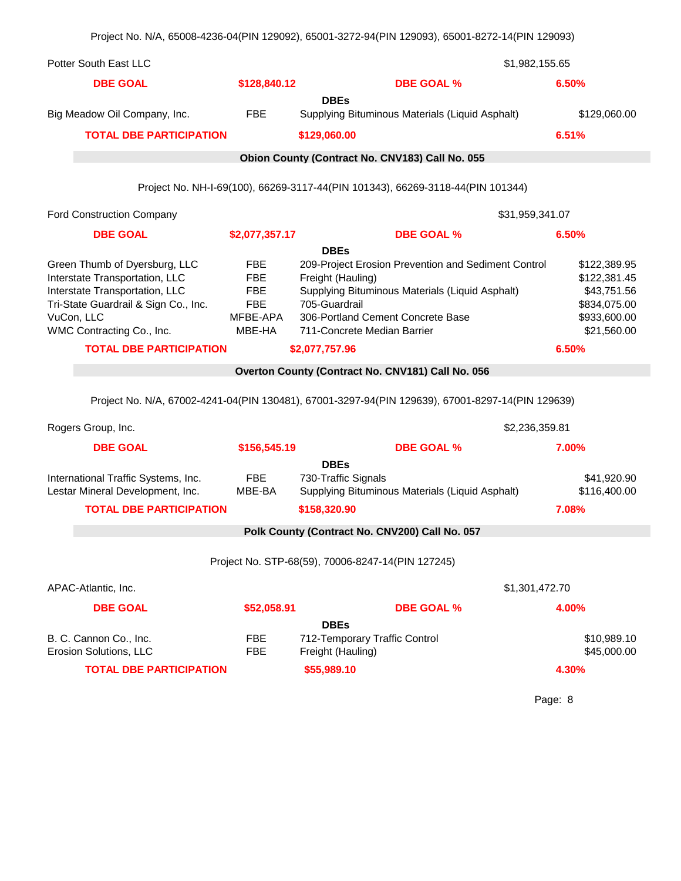|                                                                                                                                                                                                                        |                                                              | Project No. N/A, 65008-4236-04(PIN 129092), 65001-3272-94(PIN 129093), 65001-8272-14(PIN 129093)                                                                                                                                                  |                                                                                                     |  |  |
|------------------------------------------------------------------------------------------------------------------------------------------------------------------------------------------------------------------------|--------------------------------------------------------------|---------------------------------------------------------------------------------------------------------------------------------------------------------------------------------------------------------------------------------------------------|-----------------------------------------------------------------------------------------------------|--|--|
| <b>Potter South East LLC</b>                                                                                                                                                                                           | \$1,982,155.65                                               |                                                                                                                                                                                                                                                   |                                                                                                     |  |  |
| <b>DBE GOAL</b>                                                                                                                                                                                                        | \$128,840.12                                                 | <b>DBE GOAL %</b>                                                                                                                                                                                                                                 | 6.50%                                                                                               |  |  |
| Big Meadow Oil Company, Inc.                                                                                                                                                                                           | FBE                                                          | <b>DBEs</b><br>Supplying Bituminous Materials (Liquid Asphalt)                                                                                                                                                                                    | \$129,060.00                                                                                        |  |  |
| <b>TOTAL DBE PARTICIPATION</b>                                                                                                                                                                                         |                                                              | \$129,060.00                                                                                                                                                                                                                                      | 6.51%                                                                                               |  |  |
|                                                                                                                                                                                                                        |                                                              | Obion County (Contract No. CNV183) Call No. 055                                                                                                                                                                                                   |                                                                                                     |  |  |
|                                                                                                                                                                                                                        |                                                              | Project No. NH-I-69(100), 66269-3117-44(PIN 101343), 66269-3118-44(PIN 101344)                                                                                                                                                                    |                                                                                                     |  |  |
| <b>Ford Construction Company</b>                                                                                                                                                                                       |                                                              |                                                                                                                                                                                                                                                   | \$31,959,341.07                                                                                     |  |  |
| <b>DBE GOAL</b>                                                                                                                                                                                                        | \$2,077,357.17                                               | <b>DBE GOAL %</b>                                                                                                                                                                                                                                 | 6.50%                                                                                               |  |  |
| Green Thumb of Dyersburg, LLC<br>Interstate Transportation, LLC<br>Interstate Transportation, LLC<br>Tri-State Guardrail & Sign Co., Inc.<br>VuCon, LLC<br>WMC Contracting Co., Inc.<br><b>TOTAL DBE PARTICIPATION</b> | FBE<br>FBE<br><b>FBE</b><br><b>FBE</b><br>MFBE-APA<br>MBE-HA | <b>DBEs</b><br>209-Project Erosion Prevention and Sediment Control<br>Freight (Hauling)<br>Supplying Bituminous Materials (Liquid Asphalt)<br>705-Guardrail<br>306-Portland Cement Concrete Base<br>711-Concrete Median Barrier<br>\$2,077,757.96 | \$122,389.95<br>\$122,381.45<br>\$43,751.56<br>\$834,075.00<br>\$933,600.00<br>\$21,560.00<br>6.50% |  |  |
|                                                                                                                                                                                                                        |                                                              | Overton County (Contract No. CNV181) Call No. 056                                                                                                                                                                                                 |                                                                                                     |  |  |
|                                                                                                                                                                                                                        |                                                              | Project No. N/A, 67002-4241-04(PIN 130481), 67001-3297-94(PIN 129639), 67001-8297-14(PIN 129639)                                                                                                                                                  |                                                                                                     |  |  |
| Rogers Group, Inc.                                                                                                                                                                                                     |                                                              |                                                                                                                                                                                                                                                   | \$2,236,359.81                                                                                      |  |  |
| <b>DBE GOAL</b>                                                                                                                                                                                                        | \$156,545.19                                                 | <b>DBE GOAL %</b>                                                                                                                                                                                                                                 | 7.00%                                                                                               |  |  |
| International Traffic Systems, Inc.<br>Lestar Mineral Development, Inc.<br><b>TOTAL DBE PARTICIPATION</b>                                                                                                              | FBE<br>MBE-BA                                                | <b>DBEs</b><br>730-Traffic Signals<br>Supplying Bituminous Materials (Liquid Asphalt)<br>\$158,320.90<br>Polk County (Contract No. CNV200) Call No. 057                                                                                           | \$41,920.90<br>\$116,400.00<br>7.08%                                                                |  |  |
|                                                                                                                                                                                                                        |                                                              |                                                                                                                                                                                                                                                   |                                                                                                     |  |  |
|                                                                                                                                                                                                                        |                                                              | Project No. STP-68(59), 70006-8247-14(PIN 127245)                                                                                                                                                                                                 |                                                                                                     |  |  |
| APAC-Atlantic, Inc.                                                                                                                                                                                                    |                                                              |                                                                                                                                                                                                                                                   | \$1,301,472.70                                                                                      |  |  |
| <b>DBE GOAL</b>                                                                                                                                                                                                        | \$52,058.91                                                  | <b>DBE GOAL %</b>                                                                                                                                                                                                                                 | 4.00%                                                                                               |  |  |
| B. C. Cannon Co., Inc.<br>Erosion Solutions, LLC<br><b>TOTAL DBE PARTICIPATION</b>                                                                                                                                     | <b>FBE</b><br><b>FBE</b>                                     | <b>DBEs</b><br>712-Temporary Traffic Control<br>Freight (Hauling)<br>\$55,989.10                                                                                                                                                                  | \$10,989.10<br>\$45,000.00<br>4.30%                                                                 |  |  |
|                                                                                                                                                                                                                        |                                                              |                                                                                                                                                                                                                                                   |                                                                                                     |  |  |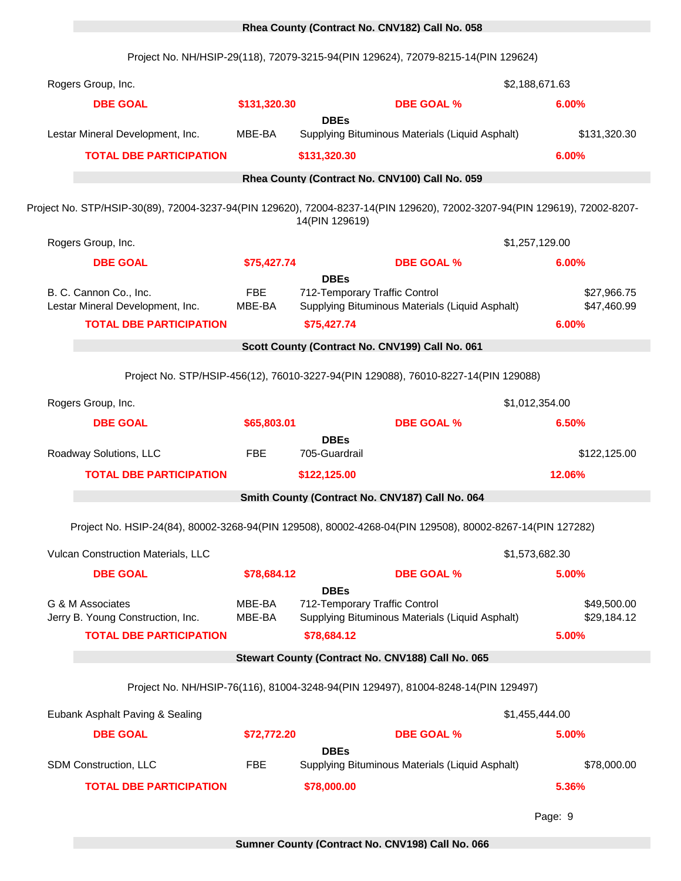### 0 **Rhea County (Contract No. CNV182) Call No. 058**

Project No. NH/HSIP-29(118), 72079-3215-94(PIN 129624), 72079-8215-14(PIN 129624)

| Rogers Group, Inc.                                                                                                        |                      |                                                             |                                                                                    | \$2,188,671.63 |                            |
|---------------------------------------------------------------------------------------------------------------------------|----------------------|-------------------------------------------------------------|------------------------------------------------------------------------------------|----------------|----------------------------|
| <b>DBE GOAL</b>                                                                                                           | \$131,320.30         |                                                             | <b>DBE GOAL %</b>                                                                  | 6.00%          |                            |
| Lestar Mineral Development, Inc.                                                                                          | MBE-BA               | <b>DBEs</b>                                                 | Supplying Bituminous Materials (Liquid Asphalt)                                    |                | \$131,320.30               |
| <b>TOTAL DBE PARTICIPATION</b>                                                                                            |                      | \$131,320.30                                                |                                                                                    | 6.00%          |                            |
|                                                                                                                           |                      |                                                             | Rhea County (Contract No. CNV100) Call No. 059                                     |                |                            |
|                                                                                                                           |                      |                                                             |                                                                                    |                |                            |
| Project No. STP/HSIP-30(89), 72004-3237-94(PIN 129620), 72004-8237-14(PIN 129620), 72002-3207-94(PIN 129619), 72002-8207- |                      | 14(PIN 129619)                                              |                                                                                    |                |                            |
| Rogers Group, Inc.                                                                                                        |                      |                                                             |                                                                                    | \$1,257,129.00 |                            |
| <b>DBE GOAL</b>                                                                                                           | \$75,427.74          |                                                             | <b>DBE GOAL %</b>                                                                  | 6.00%          |                            |
| B. C. Cannon Co., Inc.<br>Lestar Mineral Development, Inc.<br><b>TOTAL DBE PARTICIPATION</b>                              | <b>FBE</b><br>MBE-BA | <b>DBEs</b><br>712-Temporary Traffic Control<br>\$75,427.74 | Supplying Bituminous Materials (Liquid Asphalt)                                    | 6.00%          | \$27,966.75<br>\$47,460.99 |
|                                                                                                                           |                      |                                                             | Scott County (Contract No. CNV199) Call No. 061                                    |                |                            |
|                                                                                                                           |                      |                                                             |                                                                                    |                |                            |
|                                                                                                                           |                      |                                                             | Project No. STP/HSIP-456(12), 76010-3227-94(PIN 129088), 76010-8227-14(PIN 129088) |                |                            |
| Rogers Group, Inc.                                                                                                        |                      |                                                             |                                                                                    | \$1,012,354.00 |                            |
| <b>DBE GOAL</b>                                                                                                           | \$65,803.01          | <b>DBEs</b>                                                 | <b>DBE GOAL %</b>                                                                  | 6.50%          |                            |
| Roadway Solutions, LLC                                                                                                    | <b>FBE</b>           | 705-Guardrail                                               |                                                                                    |                | \$122,125.00               |
| <b>TOTAL DBE PARTICIPATION</b>                                                                                            |                      | \$122,125.00                                                |                                                                                    | 12.06%         |                            |
|                                                                                                                           |                      |                                                             | Smith County (Contract No. CNV187) Call No. 064                                    |                |                            |
| Project No. HSIP-24(84), 80002-3268-94(PIN 129508), 80002-4268-04(PIN 129508), 80002-8267-14(PIN 127282)                  |                      |                                                             |                                                                                    |                |                            |
|                                                                                                                           |                      |                                                             |                                                                                    |                |                            |
| Vulcan Construction Materials, LLC                                                                                        |                      |                                                             |                                                                                    | \$1,573,682.30 |                            |
| <b>DBE GOAL</b>                                                                                                           | \$78,684.12          | <b>DBEs</b>                                                 | <b>DBE GOAL %</b>                                                                  | 5.00%          |                            |
| G & M Associates                                                                                                          | MBE-BA               | 712-Temporary Traffic Control                               |                                                                                    |                | \$49,500.00                |
| Jerry B. Young Construction, Inc.<br><b>TOTAL DBE PARTICIPATION</b>                                                       | MBE-BA               | \$78,684.12                                                 | Supplying Bituminous Materials (Liquid Asphalt)                                    | 5.00%          | \$29,184.12                |
|                                                                                                                           |                      |                                                             | Stewart County (Contract No. CNV188) Call No. 065                                  |                |                            |
|                                                                                                                           |                      |                                                             |                                                                                    |                |                            |
|                                                                                                                           |                      |                                                             | Project No. NH/HSIP-76(116), 81004-3248-94(PIN 129497), 81004-8248-14(PIN 129497)  |                |                            |
| Eubank Asphalt Paving & Sealing                                                                                           |                      |                                                             |                                                                                    | \$1,455,444.00 |                            |
| <b>DBE GOAL</b>                                                                                                           | \$72,772.20          |                                                             | <b>DBE GOAL %</b>                                                                  | 5.00%          |                            |
| SDM Construction, LLC                                                                                                     | <b>FBE</b>           | <b>DBEs</b>                                                 | Supplying Bituminous Materials (Liquid Asphalt)                                    |                | \$78,000.00                |
| <b>TOTAL DBE PARTICIPATION</b>                                                                                            |                      | \$78,000.00                                                 |                                                                                    | 5.36%          |                            |
|                                                                                                                           |                      |                                                             |                                                                                    |                |                            |
|                                                                                                                           |                      |                                                             |                                                                                    | Page: 9        |                            |